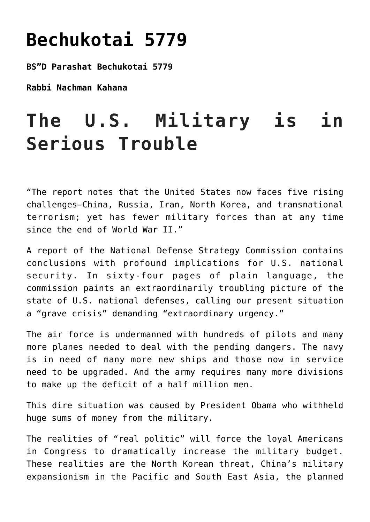## **[Bechukotai 5779](https://nachmankahana.com/bechukotai-5779/)**

**BS"D Parashat Bechukotai 5779**

**Rabbi Nachman Kahana**

## **The U.S. Military is in Serious Trouble**

"The report notes that the United States now faces five rising challenges—China, Russia, Iran, North Korea, and transnational terrorism; yet has fewer military forces than at any time since the end of World War II."

A report of the National Defense Strategy Commission contains conclusions with profound implications for U.S. national security. In sixty-four pages of plain language, the commission paints an extraordinarily troubling picture of the state of U.S. national defenses, calling our present situation a "grave crisis" demanding "extraordinary urgency."

The air force is undermanned with hundreds of pilots and many more planes needed to deal with the pending dangers. The navy is in need of many more new ships and those now in service need to be upgraded. And the army requires many more divisions to make up the deficit of a half million men.

This dire situation was caused by President Obama who withheld huge sums of money from the military.

The realities of "real politic" will force the loyal Americans in Congress to dramatically increase the military budget. These realities are the North Korean threat, China's military expansionism in the Pacific and South East Asia, the planned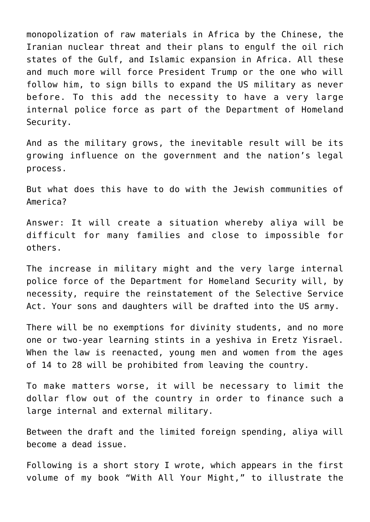monopolization of raw materials in Africa by the Chinese, the Iranian nuclear threat and their plans to engulf the oil rich states of the Gulf, and Islamic expansion in Africa. All these and much more will force President Trump or the one who will follow him, to sign bills to expand the US military as never before. To this add the necessity to have a very large internal police force as part of the Department of Homeland Security.

And as the military grows, the inevitable result will be its growing influence on the government and the nation's legal process.

But what does this have to do with the Jewish communities of America?

Answer: It will create a situation whereby aliya will be difficult for many families and close to impossible for others.

The increase in military might and the very large internal police force of the Department for Homeland Security will, by necessity, require the reinstatement of the Selective Service Act. Your sons and daughters will be drafted into the US army.

There will be no exemptions for divinity students, and no more one or two-year learning stints in a yeshiva in Eretz Yisrael. When the law is reenacted, young men and women from the ages of 14 to 28 will be prohibited from leaving the country.

To make matters worse, it will be necessary to limit the dollar flow out of the country in order to finance such a large internal and external military.

Between the draft and the limited foreign spending, aliya will become a dead issue.

Following is a short story I wrote, which appears in the first volume of my book "With All Your Might," to illustrate the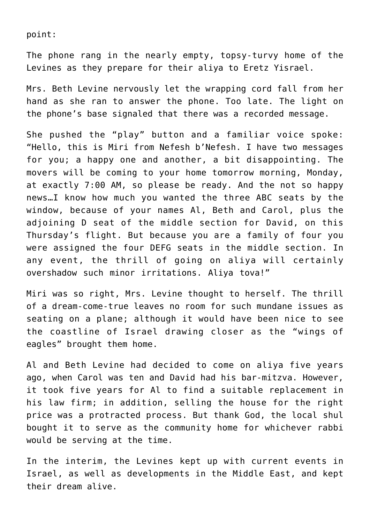point:

The phone rang in the nearly empty, topsy-turvy home of the Levines as they prepare for their aliya to Eretz Yisrael.

Mrs. Beth Levine nervously let the wrapping cord fall from her hand as she ran to answer the phone. Too late. The light on the phone's base signaled that there was a recorded message.

She pushed the "play" button and a familiar voice spoke: "Hello, this is Miri from Nefesh b'Nefesh. I have two messages for you; a happy one and another, a bit disappointing. The movers will be coming to your home tomorrow morning, Monday, at exactly 7:00 AM, so please be ready. And the not so happy news…I know how much you wanted the three ABC seats by the window, because of your names Al, Beth and Carol, plus the adjoining D seat of the middle section for David, on this Thursday's flight. But because you are a family of four you were assigned the four DEFG seats in the middle section. In any event, the thrill of going on aliya will certainly overshadow such minor irritations. Aliya tova!"

Miri was so right, Mrs. Levine thought to herself. The thrill of a dream-come-true leaves no room for such mundane issues as seating on a plane; although it would have been nice to see the coastline of Israel drawing closer as the "wings of eagles" brought them home.

Al and Beth Levine had decided to come on aliya five years ago, when Carol was ten and David had his bar-mitzva. However, it took five years for Al to find a suitable replacement in his law firm; in addition, selling the house for the right price was a protracted process. But thank God, the local shul bought it to serve as the community home for whichever rabbi would be serving at the time.

In the interim, the Levines kept up with current events in Israel, as well as developments in the Middle East, and kept their dream alive.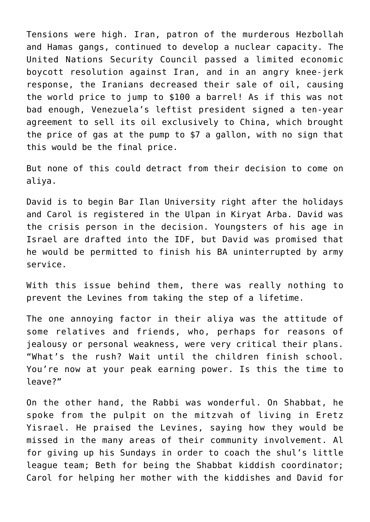Tensions were high. Iran, patron of the murderous Hezbollah and Hamas gangs, continued to develop a nuclear capacity. The United Nations Security Council passed a limited economic boycott resolution against Iran, and in an angry knee-jerk response, the Iranians decreased their sale of oil, causing the world price to jump to \$100 a barrel! As if this was not bad enough, Venezuela's leftist president signed a ten-year agreement to sell its oil exclusively to China, which brought the price of gas at the pump to \$7 a gallon, with no sign that this would be the final price.

But none of this could detract from their decision to come on aliya.

David is to begin Bar Ilan University right after the holidays and Carol is registered in the Ulpan in Kiryat Arba. David was the crisis person in the decision. Youngsters of his age in Israel are drafted into the IDF, but David was promised that he would be permitted to finish his BA uninterrupted by army service.

With this issue behind them, there was really nothing to prevent the Levines from taking the step of a lifetime.

The one annoying factor in their aliya was the attitude of some relatives and friends, who, perhaps for reasons of jealousy or personal weakness, were very critical their plans. "What's the rush? Wait until the children finish school. You're now at your peak earning power. Is this the time to leave?"

On the other hand, the Rabbi was wonderful. On Shabbat, he spoke from the pulpit on the mitzvah of living in Eretz Yisrael. He praised the Levines, saying how they would be missed in the many areas of their community involvement. Al for giving up his Sundays in order to coach the shul's little league team; Beth for being the Shabbat kiddish coordinator; Carol for helping her mother with the kiddishes and David for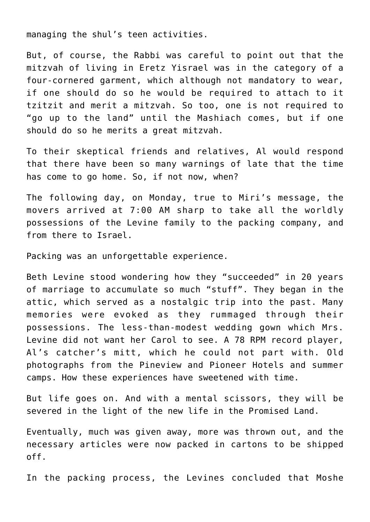managing the shul's teen activities.

But, of course, the Rabbi was careful to point out that the mitzvah of living in Eretz Yisrael was in the category of a four-cornered garment, which although not mandatory to wear, if one should do so he would be required to attach to it tzitzit and merit a mitzvah. So too, one is not required to "go up to the land" until the Mashiach comes, but if one should do so he merits a great mitzvah.

To their skeptical friends and relatives, Al would respond that there have been so many warnings of late that the time has come to go home. So, if not now, when?

The following day, on Monday, true to Miri's message, the movers arrived at 7:00 AM sharp to take all the worldly possessions of the Levine family to the packing company, and from there to Israel.

Packing was an unforgettable experience.

Beth Levine stood wondering how they "succeeded" in 20 years of marriage to accumulate so much "stuff". They began in the attic, which served as a nostalgic trip into the past. Many memories were evoked as they rummaged through their possessions. The less-than-modest wedding gown which Mrs. Levine did not want her Carol to see. A 78 RPM record player, Al's catcher's mitt, which he could not part with. Old photographs from the Pineview and Pioneer Hotels and summer camps. How these experiences have sweetened with time.

But life goes on. And with a mental scissors, they will be severed in the light of the new life in the Promised Land.

Eventually, much was given away, more was thrown out, and the necessary articles were now packed in cartons to be shipped off.

In the packing process, the Levines concluded that Moshe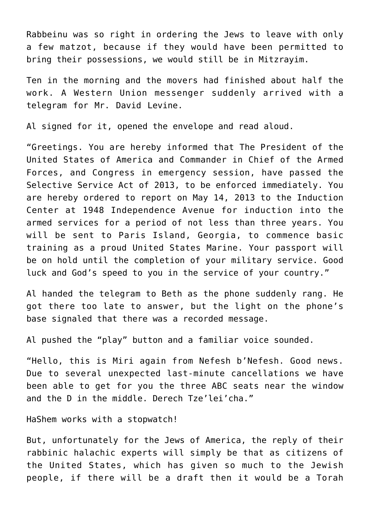Rabbeinu was so right in ordering the Jews to leave with only a few matzot, because if they would have been permitted to bring their possessions, we would still be in Mitzrayim.

Ten in the morning and the movers had finished about half the work. A Western Union messenger suddenly arrived with a telegram for Mr. David Levine.

Al signed for it, opened the envelope and read aloud.

"Greetings. You are hereby informed that The President of the United States of America and Commander in Chief of the Armed Forces, and Congress in emergency session, have passed the Selective Service Act of 2013, to be enforced immediately. You are hereby ordered to report on May 14, 2013 to the Induction Center at 1948 Independence Avenue for induction into the armed services for a period of not less than three years. You will be sent to Paris Island, Georgia, to commence basic training as a proud United States Marine. Your passport will be on hold until the completion of your military service. Good luck and God's speed to you in the service of your country."

Al handed the telegram to Beth as the phone suddenly rang. He got there too late to answer, but the light on the phone's base signaled that there was a recorded message.

Al pushed the "play" button and a familiar voice sounded.

"Hello, this is Miri again from Nefesh b'Nefesh. Good news. Due to several unexpected last-minute cancellations we have been able to get for you the three ABC seats near the window and the D in the middle. Derech Tze'lei'cha."

HaShem works with a stopwatch!

But, unfortunately for the Jews of America, the reply of their rabbinic halachic experts will simply be that as citizens of the United States, which has given so much to the Jewish people, if there will be a draft then it would be a Torah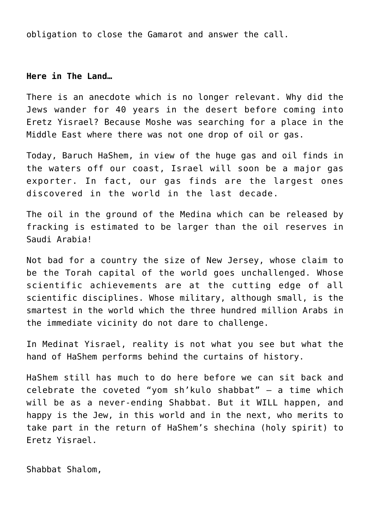obligation to close the Gamarot and answer the call.

## **Here in The Land…**

There is an anecdote which is no longer relevant. Why did the Jews wander for 40 years in the desert before coming into Eretz Yisrael? Because Moshe was searching for a place in the Middle East where there was not one drop of oil or gas.

Today, Baruch HaShem, in view of the huge gas and oil finds in the waters off our coast, Israel will soon be a major gas exporter. In fact, our gas finds are the largest ones discovered in the world in the last decade.

The oil in the ground of the Medina which can be released by fracking is estimated to be larger than the oil reserves in Saudi Arabia!

Not bad for a country the size of New Jersey, whose claim to be the Torah capital of the world goes unchallenged. Whose scientific achievements are at the cutting edge of all scientific disciplines. Whose military, although small, is the smartest in the world which the three hundred million Arabs in the immediate vicinity do not dare to challenge.

In Medinat Yisrael, reality is not what you see but what the hand of HaShem performs behind the curtains of history.

HaShem still has much to do here before we can sit back and celebrate the coveted "yom sh'kulo shabbat" – a time which will be as a never-ending Shabbat. But it WILL happen, and happy is the Jew, in this world and in the next, who merits to take part in the return of HaShem's shechina (holy spirit) to Eretz Yisrael.

Shabbat Shalom,